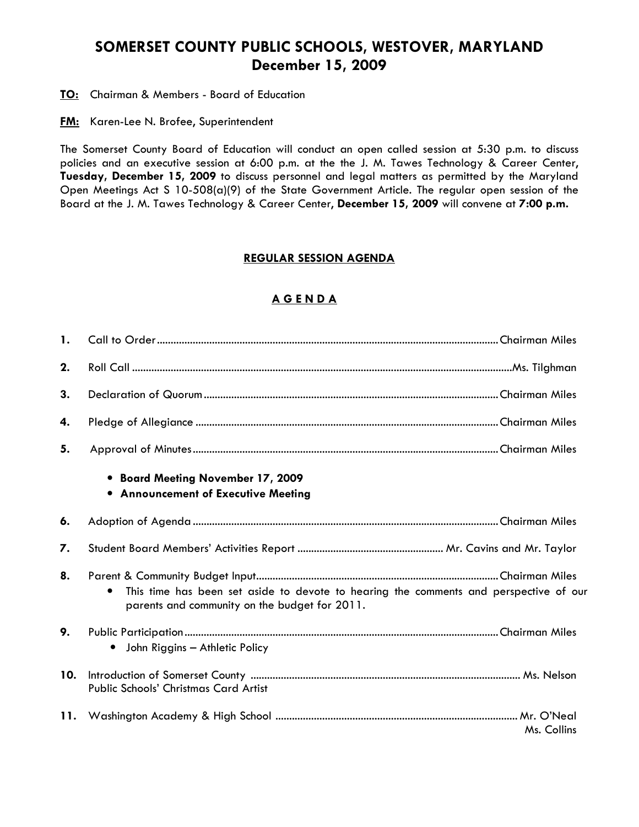# SOMERSET COUNTY PUBLIC SCHOOLS, WESTOVER, MARYLAND December 15, 2009

**TO:** Chairman & Members - Board of Education

**FM:** Karen-Lee N. Brofee, Superintendent

The Somerset County Board of Education will conduct an open called session at 5:30 p.m. to discuss policies and an executive session at 6:00 p.m. at the the J. M. Tawes Technology & Career Center, Tuesday, December 15, 2009 to discuss personnel and legal matters as permitted by the Maryland Open Meetings Act S 10-508(a)(9) of the State Government Article. The regular open session of the Board at the J. M. Tawes Technology & Career Center, December 15, 2009 will convene at 7:00 p.m.

### REGULAR SESSION AGENDA

## A G E N D A

| $\mathbf{1}$ . |                                                                                                                                                     |
|----------------|-----------------------------------------------------------------------------------------------------------------------------------------------------|
| 2.             |                                                                                                                                                     |
| 3.             |                                                                                                                                                     |
| 4.             |                                                                                                                                                     |
| 5.             |                                                                                                                                                     |
|                | • Board Meeting November 17, 2009<br>• Announcement of Executive Meeting                                                                            |
| 6.             |                                                                                                                                                     |
| 7.             |                                                                                                                                                     |
| 8.             | This time has been set aside to devote to hearing the comments and perspective of our<br>$\bullet$<br>parents and community on the budget for 2011. |
| 9.             | John Riggins - Athletic Policy<br>$\bullet$                                                                                                         |
| 10.            | <b>Public Schools' Christmas Card Artist</b>                                                                                                        |
| 11.            | Ms. Collins                                                                                                                                         |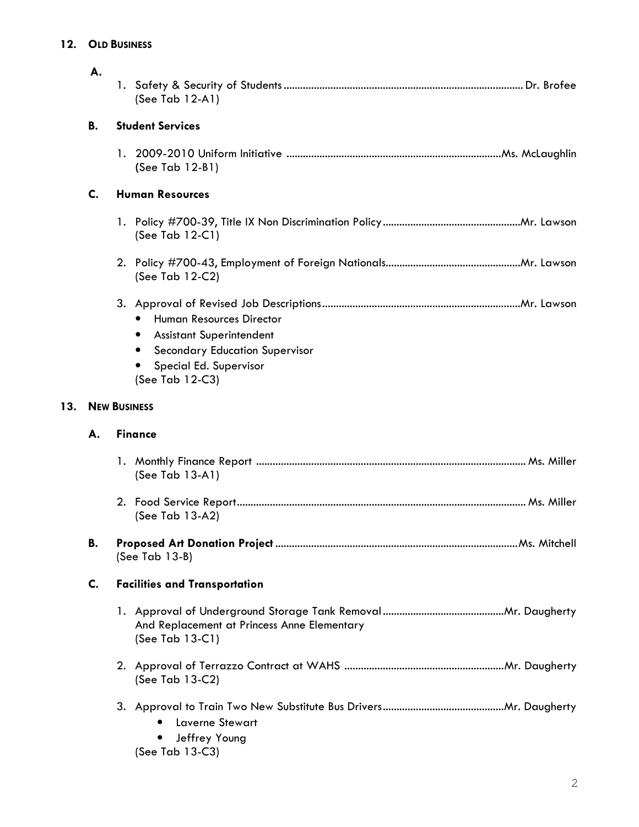## 12. OLD BUSINESS

 $13.$ 

|     | А.                  | (See Tab 12-A1)                                                                                                                                                       |  |  |  |  |
|-----|---------------------|-----------------------------------------------------------------------------------------------------------------------------------------------------------------------|--|--|--|--|
|     | В.                  | <b>Student Services</b>                                                                                                                                               |  |  |  |  |
|     |                     | (See Tab 12-B1)                                                                                                                                                       |  |  |  |  |
|     | C.                  | <b>Human Resources</b>                                                                                                                                                |  |  |  |  |
|     |                     | (See Tab 12-C1)                                                                                                                                                       |  |  |  |  |
|     |                     | (See Tab 12-C2)                                                                                                                                                       |  |  |  |  |
|     |                     | <b>Human Resources Director</b><br>$\bullet$<br><b>Assistant Superintendent</b><br><b>Secondary Education Supervisor</b><br>Special Ed. Supervisor<br>(See Tab 12-C3) |  |  |  |  |
| 13. | <b>NEW BUSINESS</b> |                                                                                                                                                                       |  |  |  |  |
|     | А.                  | <b>Finance</b>                                                                                                                                                        |  |  |  |  |
|     |                     | (See Tab 13-A1)                                                                                                                                                       |  |  |  |  |
|     |                     | (See Tab 13-A2)                                                                                                                                                       |  |  |  |  |
|     | В.                  | $(See Tab 13-B)$                                                                                                                                                      |  |  |  |  |
|     | C.                  | <b>Facilities and Transportation</b>                                                                                                                                  |  |  |  |  |
|     |                     | And Replacement at Princess Anne Elementary<br>(See Tab 13-C1)                                                                                                        |  |  |  |  |
|     |                     | (See Tab 13-C2)                                                                                                                                                       |  |  |  |  |
|     |                     | <b>Laverne Stewart</b><br>Jeffrey Young<br>(See Tab 13-C3)                                                                                                            |  |  |  |  |